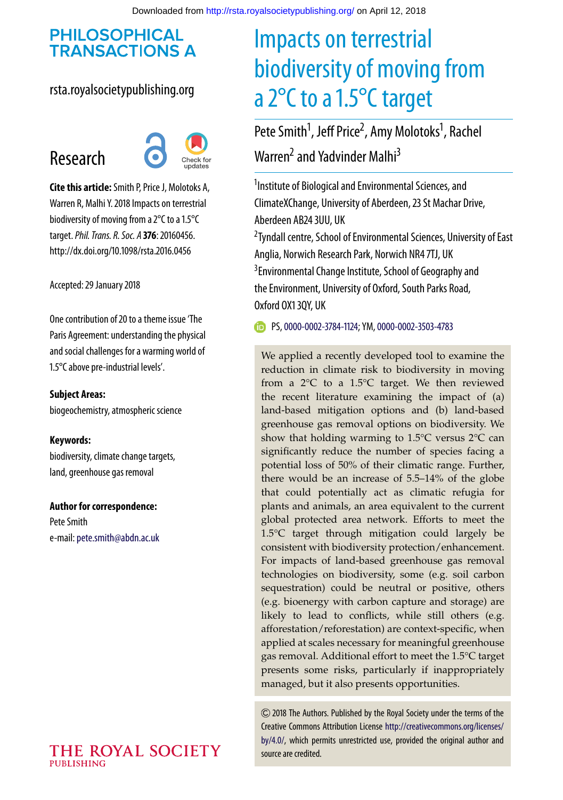## **PHILOSOPHICAL TRANSACTIONS A**

## rsta.royalsocietypublishing.org

## Research



**Cite this article:**Smith P, Price J, Molotoks A, Warren R, Malhi Y. 2018 Impacts on terrestrial biodiversity of moving from a 2°C to a 1.5°C target.*Phil. Trans. R. Soc. A* **376**: 20160456. http://dx.doi.org/10.1098/rsta.2016.0456

Accepted: 29 January 2018

One contribution of 20 to a theme issue 'The [Paris Agreement: understanding the physical](http://dx.doi.org/10.1098/rsta/376/2119) and social challenges for a warming world of 1.5°C above pre-industrial levels'.

#### **Subject Areas:**

biogeochemistry, atmospheric science

#### **Keywords:**

biodiversity, climate change targets, land, greenhouse gas removal

**Author for correspondence:** Pete Smith e-mail:[pete.smith@abdn.ac.uk](mailto:pete.smith@abdn.ac.uk)

#### THE ROYAL SOCIETY **PUBLISHING**

# Impacts on terrestrial biodiversity of moving from a 2°C to a 1.5°C target

Pete Smith<sup>1</sup>, Jeff Price<sup>2</sup>, Amy Molotoks<sup>1</sup>, Rachel Warren<sup>2</sup> and Yadvinder Malhi<sup>3</sup>

<sup>1</sup> Institute of Biological and Environmental Sciences, and ClimateXChange, University of Aberdeen, 23 St Machar Drive, Aberdeen AB24 3UU, UK

<sup>2</sup> Tyndall centre, School of Environmental Sciences, University of East Anglia, Norwich Research Park, Norwich NR4 7TJ, UK <sup>3</sup> Environmental Change Institute, School of Geography and the Environment, University of Oxford, South Parks Road, Oxford OX1 3QY, UK

PS, [0000-0002-3784-1124;](http://orcid.org/0000-0002-3784-1124) YM, [0000-0002-3503-4783](http://orcid.org/0000-0002-3503-4783)

We applied a recently developed tool to examine the reduction in climate risk to biodiversity in moving from a 2°C to a 1.5°C target. We then reviewed the recent literature examining the impact of (a) land-based mitigation options and (b) land-based greenhouse gas removal options on biodiversity. We show that holding warming to 1.5°C versus 2°C can significantly reduce the number of species facing a potential loss of 50% of their climatic range. Further, there would be an increase of 5.5–14% of the globe that could potentially act as climatic refugia for plants and animals, an area equivalent to the current global protected area network. Efforts to meet the 1.5°C target through mitigation could largely be consistent with biodiversity protection/enhancement. For impacts of land-based greenhouse gas removal technologies on biodiversity, some (e.g. soil carbon sequestration) could be neutral or positive, others (e.g. bioenergy with carbon capture and storage) are likely to lead to conflicts, while still others (e.g. afforestation/reforestation) are context-specific, when applied at scales necessary for meaningful greenhouse gas removal. Additional effort to meet the 1.5°C target presents some risks, particularly if inappropriately managed, but it also presents opportunities.

2018 The Authors. Published by the Royal Society under the terms of the Creative Commons Attribution License [http://creativecommons.org/licenses/](http://creativecommons.org/licenses/by/4.0/) [by/4.0/,](http://creativecommons.org/licenses/by/4.0/) which permits unrestricted use, provided the original author and source are credited.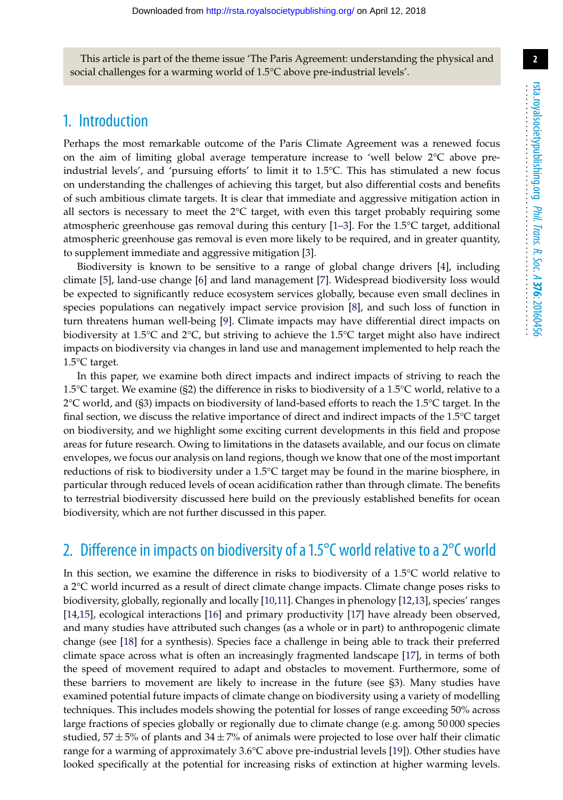This article is part of the theme issue 'The Paris Agreement: understanding the physical and social challenges for a warming world of 1.5°C above pre-industrial levels'.

## 1. Introduction

Perhaps the most remarkable outcome of the Paris Climate Agreement was a renewed focus on the aim of limiting global average temperature increase to 'well below 2°C above preindustrial levels', and 'pursuing efforts' to limit it to 1.5°C. This has stimulated a new focus on understanding the challenges of achieving this target, but also differential costs and benefits of such ambitious climate targets. It is clear that immediate and aggressive mitigation action in all sectors is necessary to meet the  $2^{\circ}C$  target, with even this target probably requiring some atmospheric greenhouse gas removal during this century  $[1-3]$  $[1-3]$ . For the 1.5 $^{\circ}$ C target, additional atmospheric greenhouse gas removal is even more likely to be required, and in greater quantity, to supplement immediate and aggressive mitigation [\[3\]](#page-13-1).

Biodiversity is known to be sensitive to a range of global change drivers [\[4\]](#page-13-2), including climate [\[5\]](#page-13-3), land-use change [\[6\]](#page-13-4) and land management [\[7\]](#page-13-5). Widespread biodiversity loss would be expected to significantly reduce ecosystem services globally, because even small declines in species populations can negatively impact service provision [\[8\]](#page-13-6), and such loss of function in turn threatens human well-being [\[9\]](#page-13-7). Climate impacts may have differential direct impacts on biodiversity at 1.5°C and 2°C, but striving to achieve the 1.5°C target might also have indirect impacts on biodiversity via changes in land use and management implemented to help reach the 1.5°C target.

In this paper, we examine both direct impacts and indirect impacts of striving to reach the 1.5°C target. We examine (§2) the difference in risks to biodiversity of a 1.5°C world, relative to a  $2^{\circ}$ C world, and (§3) impacts on biodiversity of land-based efforts to reach the 1.5 $^{\circ}$ C target. In the final section, we discuss the relative importance of direct and indirect impacts of the  $1.5^{\circ}$ C target on biodiversity, and we highlight some exciting current developments in this field and propose areas for future research. Owing to limitations in the datasets available, and our focus on climate envelopes, we focus our analysis on land regions, though we know that one of the most important reductions of risk to biodiversity under a 1.5°C target may be found in the marine biosphere, in particular through reduced levels of ocean acidification rather than through climate. The benefits to terrestrial biodiversity discussed here build on the previously established benefits for ocean biodiversity, which are not further discussed in this paper.

## 2. Difference in impacts on biodiversity of a 1.5°C world relative to a 2°C world

In this section, we examine the difference in risks to biodiversity of a 1.5°C world relative to a 2°C world incurred as a result of direct climate change impacts. Climate change poses risks to biodiversity, globally, regionally and locally [\[10,](#page-13-8)[11\]](#page-13-9). Changes in phenology [\[12](#page-13-10)[,13\]](#page-13-11), species' ranges [\[14](#page-13-12)[,15\]](#page-13-13), ecological interactions [\[16\]](#page-14-0) and primary productivity [\[17\]](#page-14-1) have already been observed, and many studies have attributed such changes (as a whole or in part) to anthropogenic climate change (see [\[18\]](#page-14-2) for a synthesis). Species face a challenge in being able to track their preferred climate space across what is often an increasingly fragmented landscape [\[17\]](#page-14-1), in terms of both the speed of movement required to adapt and obstacles to movement. Furthermore, some of these barriers to movement are likely to increase in the future (see §3). Many studies have examined potential future impacts of climate change on biodiversity using a variety of modelling techniques. This includes models showing the potential for losses of range exceeding 50% across large fractions of species globally or regionally due to climate change (e.g. among 50 000 species studied,  $57 \pm 5%$  of plants and  $34 \pm 7%$  of animals were projected to lose over half their climatic range for a warming of approximately 3.6°C above pre-industrial levels [\[19\]](#page-14-3)). Other studies have looked specifically at the potential for increasing risks of extinction at higher warming levels.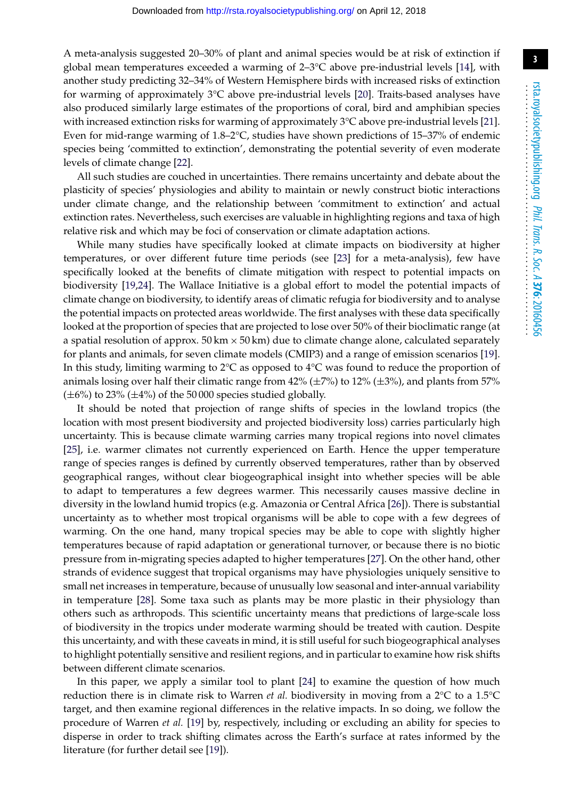A meta-analysis suggested 20–30% of plant and animal species would be at risk of extinction if global mean temperatures exceeded a warming of 2–3°C above pre-industrial levels [\[14\]](#page-13-12), with another study predicting 32–34% of Western Hemisphere birds with increased risks of extinction for warming of approximately 3°C above pre-industrial levels [\[20\]](#page-14-4). Traits-based analyses have also produced similarly large estimates of the proportions of coral, bird and amphibian species with increased extinction risks for warming of approximately 3°C above pre-industrial levels [\[21\]](#page-14-5). Even for mid-range warming of 1.8–2°C, studies have shown predictions of 15–37% of endemic species being 'committed to extinction', demonstrating the potential severity of even moderate levels of climate change [\[22\]](#page-14-6).

All such studies are couched in uncertainties. There remains uncertainty and debate about the plasticity of species' physiologies and ability to maintain or newly construct biotic interactions under climate change, and the relationship between 'commitment to extinction' and actual extinction rates. Nevertheless, such exercises are valuable in highlighting regions and taxa of high relative risk and which may be foci of conservation or climate adaptation actions.

While many studies have specifically looked at climate impacts on biodiversity at higher temperatures, or over different future time periods (see [\[23\]](#page-14-7) for a meta-analysis), few have specifically looked at the benefits of climate mitigation with respect to potential impacts on biodiversity [\[19,](#page-14-3)[24\]](#page-14-8). The Wallace Initiative is a global effort to model the potential impacts of climate change on biodiversity, to identify areas of climatic refugia for biodiversity and to analyse the potential impacts on protected areas worldwide. The first analyses with these data specifically looked at the proportion of species that are projected to lose over 50% of their bioclimatic range (at a spatial resolution of approx.  $50 \text{ km} \times 50 \text{ km}$ ) due to climate change alone, calculated separately for plants and animals, for seven climate models (CMIP3) and a range of emission scenarios [\[19\]](#page-14-3). In this study, limiting warming to  $2^{\circ}C$  as opposed to  $4^{\circ}C$  was found to reduce the proportion of animals losing over half their climatic range from  $42\%$  ( $\pm 7\%$ ) to 12% ( $\pm 3\%$ ), and plants from 57%  $(\pm 6\%)$  to 23%  $(\pm 4\%)$  of the 50 000 species studied globally.

It should be noted that projection of range shifts of species in the lowland tropics (the location with most present biodiversity and projected biodiversity loss) carries particularly high uncertainty. This is because climate warming carries many tropical regions into novel climates [\[25\]](#page-14-9), i.e. warmer climates not currently experienced on Earth. Hence the upper temperature range of species ranges is defined by currently observed temperatures, rather than by observed geographical ranges, without clear biogeographical insight into whether species will be able to adapt to temperatures a few degrees warmer. This necessarily causes massive decline in diversity in the lowland humid tropics (e.g. Amazonia or Central Africa [\[26\]](#page-14-10)). There is substantial uncertainty as to whether most tropical organisms will be able to cope with a few degrees of warming. On the one hand, many tropical species may be able to cope with slightly higher temperatures because of rapid adaptation or generational turnover, or because there is no biotic pressure from in-migrating species adapted to higher temperatures [\[27\]](#page-14-11). On the other hand, other strands of evidence suggest that tropical organisms may have physiologies uniquely sensitive to small net increases in temperature, because of unusually low seasonal and inter-annual variability in temperature [\[28\]](#page-14-12). Some taxa such as plants may be more plastic in their physiology than others such as arthropods. This scientific uncertainty means that predictions of large-scale loss of biodiversity in the tropics under moderate warming should be treated with caution. Despite this uncertainty, and with these caveats in mind, it is still useful for such biogeographical analyses to highlight potentially sensitive and resilient regions, and in particular to examine how risk shifts between different climate scenarios.

In this paper, we apply a similar tool to plant [\[24\]](#page-14-8) to examine the question of how much reduction there is in climate risk to Warren *et al.* biodiversity in moving from a 2°C to a 1.5°C target, and then examine regional differences in the relative impacts. In so doing, we follow the procedure of Warren *et al.* [\[19\]](#page-14-3) by, respectively, including or excluding an ability for species to disperse in order to track shifting climates across the Earth's surface at rates informed by the literature (for further detail see [\[19\]](#page-14-3)).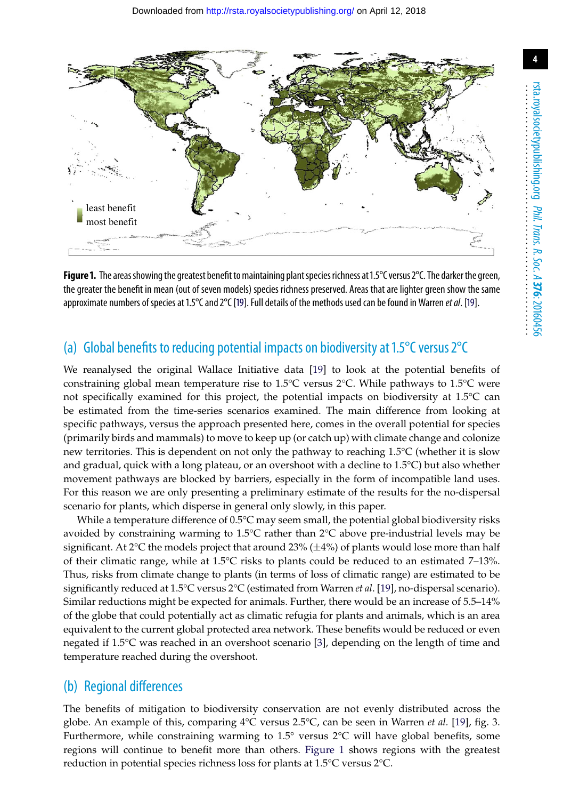

<span id="page-3-0"></span>**Figure 1.** The areas showing the greatest benefit to maintaining plant species richness at 1.5°C versus 2°C. The darker the green, the greater the benefit in mean (out of seven models) species richness preserved. Areas that are lighter green show the same approximate numbers of species at 1.5°C and 2°C [\[19\]](#page-14-3). Full details of the methods used can be found in Warren *et al*. [\[19\]](#page-14-3).

#### (a) Global benefits to reducing potential impacts on biodiversity at 1.5°C versus 2°C

We reanalysed the original Wallace Initiative data [\[19\]](#page-14-3) to look at the potential benefits of constraining global mean temperature rise to 1.5°C versus 2°C. While pathways to 1.5°C were not specifically examined for this project, the potential impacts on biodiversity at 1.5°C can be estimated from the time-series scenarios examined. The main difference from looking at specific pathways, versus the approach presented here, comes in the overall potential for species (primarily birds and mammals) to move to keep up (or catch up) with climate change and colonize new territories. This is dependent on not only the pathway to reaching 1.5°C (whether it is slow and gradual, quick with a long plateau, or an overshoot with a decline to 1.5°C) but also whether movement pathways are blocked by barriers, especially in the form of incompatible land uses. For this reason we are only presenting a preliminary estimate of the results for the no-dispersal scenario for plants, which disperse in general only slowly, in this paper.

While a temperature difference of  $0.5^{\circ}$ C may seem small, the potential global biodiversity risks avoided by constraining warming to 1.5°C rather than 2°C above pre-industrial levels may be significant. At  $2^{\circ}C$  the models project that around  $23\%$  ( $\pm 4\%$ ) of plants would lose more than half of their climatic range, while at 1.5°C risks to plants could be reduced to an estimated 7–13%. Thus, risks from climate change to plants (in terms of loss of climatic range) are estimated to be significantly reduced at 1.5°C versus 2°C (estimated from Warren *et al*. [\[19\]](#page-14-3), no-dispersal scenario). Similar reductions might be expected for animals. Further, there would be an increase of 5.5–14% of the globe that could potentially act as climatic refugia for plants and animals, which is an area equivalent to the current global protected area network. These benefits would be reduced or even negated if 1.5°C was reached in an overshoot scenario [\[3\]](#page-13-1), depending on the length of time and temperature reached during the overshoot.

#### (b) Regional differences

The benefits of mitigation to biodiversity conservation are not evenly distributed across the globe. An example of this, comparing 4°C versus 2.5°C, can be seen in Warren *et al.* [\[19\]](#page-14-3), fig. 3. Furthermore, while constraining warming to 1.5° versus 2°C will have global benefits, some regions will continue to benefit more than others. [Figure 1](#page-3-0) shows regions with the greatest reduction in potential species richness loss for plants at 1.5°C versus 2°C.

**4**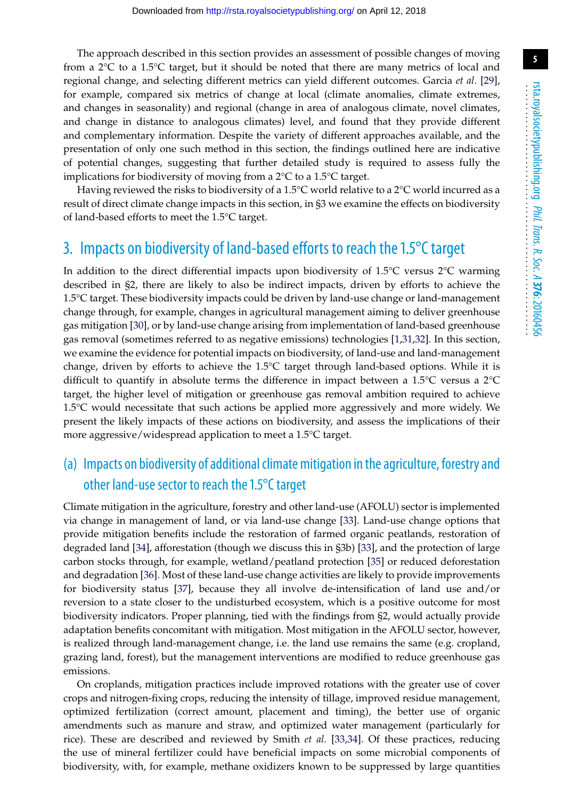The approach described in this section provides an assessment of possible changes of moving from a  $2^{\circ}$ C to a 1.5 $^{\circ}$ C target, but it should be noted that there are many metrics of local and regional change, and selecting different metrics can yield different outcomes. Garcia *et al*. [\[29\]](#page-14-13), for example, compared six metrics of change at local (climate anomalies, climate extremes, and changes in seasonality) and regional (change in area of analogous climate, novel climates, and change in distance to analogous climates) level, and found that they provide different and complementary information. Despite the variety of different approaches available, and the presentation of only one such method in this section, the findings outlined here are indicative of potential changes, suggesting that further detailed study is required to assess fully the implications for biodiversity of moving from a 2°C to a 1.5°C target.

Having reviewed the risks to biodiversity of a 1.5°C world relative to a 2°C world incurred as a result of direct climate change impacts in this section, in §3 we examine the effects on biodiversity of land-based efforts to meet the 1.5°C target.

## 3. Impacts on biodiversity of land-based efforts to reach the 1.5°C target

In addition to the direct differential impacts upon biodiversity of 1.5°C versus 2°C warming described in §2, there are likely to also be indirect impacts, driven by efforts to achieve the 1.5°C target. These biodiversity impacts could be driven by land-use change or land-management change through, for example, changes in agricultural management aiming to deliver greenhouse gas mitigation [\[30\]](#page-14-14), or by land-use change arising from implementation of land-based greenhouse gas removal (sometimes referred to as negative emissions) technologies [\[1,](#page-13-0)[31](#page-14-15)[,32\]](#page-14-16). In this section, we examine the evidence for potential impacts on biodiversity, of land-use and land-management change, driven by efforts to achieve the 1.5°C target through land-based options. While it is difficult to quantify in absolute terms the difference in impact between a 1.5°C versus a 2°C target, the higher level of mitigation or greenhouse gas removal ambition required to achieve 1.5°C would necessitate that such actions be applied more aggressively and more widely. We present the likely impacts of these actions on biodiversity, and assess the implications of their more aggressive/widespread application to meet a 1.5°C target.

## (a) Impacts on biodiversity of additional climate mitigation in the agriculture, forestry and other land-use sector to reach the 1.5°C target

Climate mitigation in the agriculture, forestry and other land-use (AFOLU) sector is implemented via change in management of land, or via land-use change [\[33\]](#page-14-17). Land-use change options that provide mitigation benefits include the restoration of farmed organic peatlands, restoration of degraded land [\[34\]](#page-14-18), afforestation (though we discuss this in §3b) [\[33\]](#page-14-17), and the protection of large carbon stocks through, for example, wetland/peatland protection [\[35\]](#page-14-19) or reduced deforestation and degradation [\[36\]](#page-14-20). Most of these land-use change activities are likely to provide improvements for biodiversity status [\[37\]](#page-14-21), because they all involve de-intensification of land use and/or reversion to a state closer to the undisturbed ecosystem, which is a positive outcome for most biodiversity indicators. Proper planning, tied with the findings from §2, would actually provide adaptation benefits concomitant with mitigation. Most mitigation in the AFOLU sector, however, is realized through land-management change, i.e. the land use remains the same (e.g. cropland, grazing land, forest), but the management interventions are modified to reduce greenhouse gas emissions.

On croplands, mitigation practices include improved rotations with the greater use of cover crops and nitrogen-fixing crops, reducing the intensity of tillage, improved residue management, optimized fertilization (correct amount, placement and timing), the better use of organic amendments such as manure and straw, and optimized water management (particularly for rice). These are described and reviewed by Smith *et al*. [\[33,](#page-14-17)[34\]](#page-14-18). Of these practices, reducing the use of mineral fertilizer could have beneficial impacts on some microbial components of biodiversity, with, for example, methane oxidizers known to be suppressed by large quantities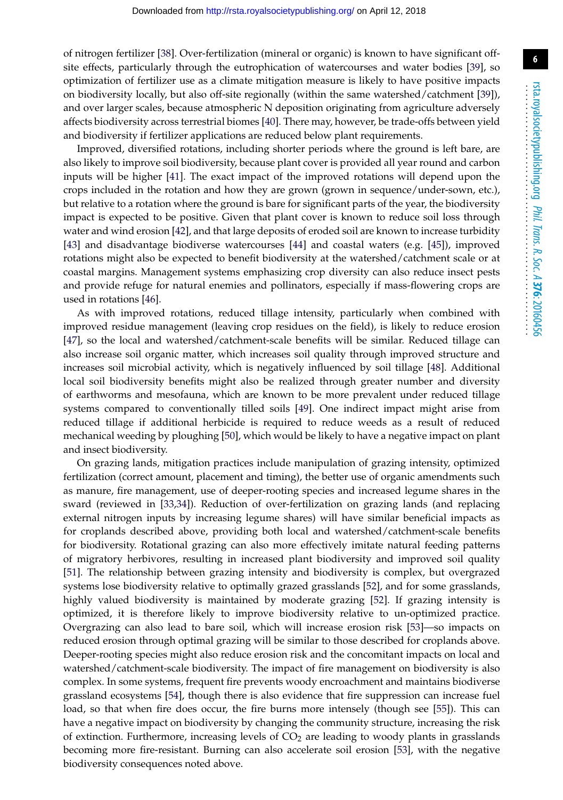of nitrogen fertilizer [\[38\]](#page-15-0). Over-fertilization (mineral or organic) is known to have significant offsite effects, particularly through the eutrophication of watercourses and water bodies [\[39\]](#page-15-1), so optimization of fertilizer use as a climate mitigation measure is likely to have positive impacts on biodiversity locally, but also off-site regionally (within the same watershed/catchment [\[39\]](#page-15-1)), and over larger scales, because atmospheric N deposition originating from agriculture adversely affects biodiversity across terrestrial biomes [\[40\]](#page-15-2). There may, however, be trade-offs between yield and biodiversity if fertilizer applications are reduced below plant requirements.

Improved, diversified rotations, including shorter periods where the ground is left bare, are also likely to improve soil biodiversity, because plant cover is provided all year round and carbon inputs will be higher [\[41\]](#page-15-3). The exact impact of the improved rotations will depend upon the crops included in the rotation and how they are grown (grown in sequence/under-sown, etc.), but relative to a rotation where the ground is bare for significant parts of the year, the biodiversity impact is expected to be positive. Given that plant cover is known to reduce soil loss through water and wind erosion [\[42\]](#page-15-4), and that large deposits of eroded soil are known to increase turbidity [\[43\]](#page-15-5) and disadvantage biodiverse watercourses [\[44\]](#page-15-6) and coastal waters (e.g. [\[45\]](#page-15-7)), improved rotations might also be expected to benefit biodiversity at the watershed/catchment scale or at coastal margins. Management systems emphasizing crop diversity can also reduce insect pests and provide refuge for natural enemies and pollinators, especially if mass-flowering crops are used in rotations [\[46\]](#page-15-8).

As with improved rotations, reduced tillage intensity, particularly when combined with improved residue management (leaving crop residues on the field), is likely to reduce erosion [\[47\]](#page-15-9), so the local and watershed/catchment-scale benefits will be similar. Reduced tillage can also increase soil organic matter, which increases soil quality through improved structure and increases soil microbial activity, which is negatively influenced by soil tillage [\[48\]](#page-15-10). Additional local soil biodiversity benefits might also be realized through greater number and diversity of earthworms and mesofauna, which are known to be more prevalent under reduced tillage systems compared to conventionally tilled soils [\[49\]](#page-15-11). One indirect impact might arise from reduced tillage if additional herbicide is required to reduce weeds as a result of reduced mechanical weeding by ploughing [\[50\]](#page-15-12), which would be likely to have a negative impact on plant and insect biodiversity.

On grazing lands, mitigation practices include manipulation of grazing intensity, optimized fertilization (correct amount, placement and timing), the better use of organic amendments such as manure, fire management, use of deeper-rooting species and increased legume shares in the sward (reviewed in [\[33](#page-14-17)[,34\]](#page-14-18)). Reduction of over-fertilization on grazing lands (and replacing external nitrogen inputs by increasing legume shares) will have similar beneficial impacts as for croplands described above, providing both local and watershed/catchment-scale benefits for biodiversity. Rotational grazing can also more effectively imitate natural feeding patterns of migratory herbivores, resulting in increased plant biodiversity and improved soil quality [\[51\]](#page-15-13). The relationship between grazing intensity and biodiversity is complex, but overgrazed systems lose biodiversity relative to optimally grazed grasslands [\[52\]](#page-15-14), and for some grasslands, highly valued biodiversity is maintained by moderate grazing [\[52\]](#page-15-14). If grazing intensity is optimized, it is therefore likely to improve biodiversity relative to un-optimized practice. Overgrazing can also lead to bare soil, which will increase erosion risk [\[53\]](#page-15-15)—so impacts on reduced erosion through optimal grazing will be similar to those described for croplands above. Deeper-rooting species might also reduce erosion risk and the concomitant impacts on local and watershed/catchment-scale biodiversity. The impact of fire management on biodiversity is also complex. In some systems, frequent fire prevents woody encroachment and maintains biodiverse grassland ecosystems [\[54\]](#page-15-16), though there is also evidence that fire suppression can increase fuel load, so that when fire does occur, the fire burns more intensely (though see [\[55\]](#page-15-17)). This can have a negative impact on biodiversity by changing the community structure, increasing the risk of extinction. Furthermore, increasing levels of  $CO<sub>2</sub>$  are leading to woody plants in grasslands becoming more fire-resistant. Burning can also accelerate soil erosion [\[53\]](#page-15-15), with the negative biodiversity consequences noted above.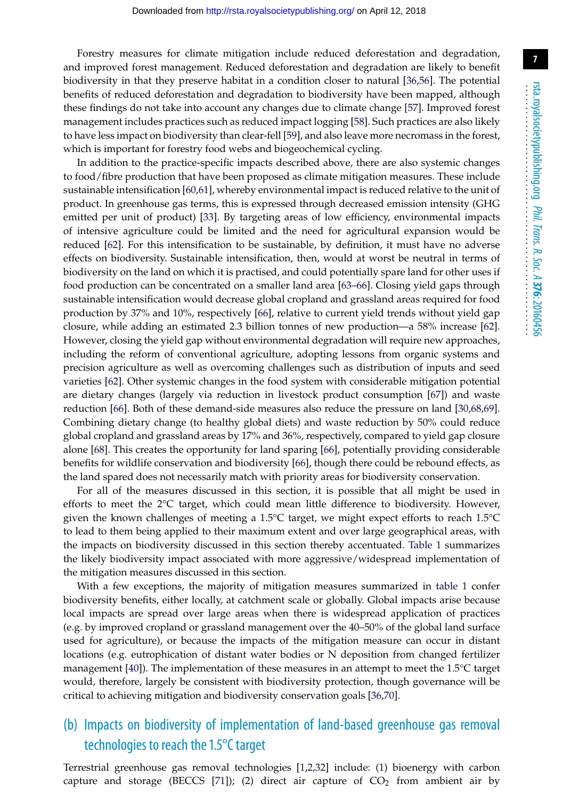**7**

Forestry measures for climate mitigation include reduced deforestation and degradation, and improved forest management. Reduced deforestation and degradation are likely to benefit biodiversity in that they preserve habitat in a condition closer to natural [\[36](#page-14-20)[,56\]](#page-15-18). The potential benefits of reduced deforestation and degradation to biodiversity have been mapped, although these findings do not take into account any changes due to climate change [\[57\]](#page-15-19). Improved forest management includes practices such as reduced impact logging [\[58\]](#page-15-20). Such practices are also likely to have less impact on biodiversity than clear-fell [\[59\]](#page-15-21), and also leave more necromass in the forest, which is important for forestry food webs and biogeochemical cycling.

In addition to the practice-specific impacts described above, there are also systemic changes to food/fibre production that have been proposed as climate mitigation measures. These include sustainable intensification [\[60,](#page-15-22)[61\]](#page-15-23), whereby environmental impact is reduced relative to the unit of product. In greenhouse gas terms, this is expressed through decreased emission intensity (GHG emitted per unit of product) [\[33\]](#page-14-17). By targeting areas of low efficiency, environmental impacts of intensive agriculture could be limited and the need for agricultural expansion would be reduced [\[62\]](#page-16-0). For this intensification to be sustainable, by definition, it must have no adverse effects on biodiversity. Sustainable intensification, then, would at worst be neutral in terms of biodiversity on the land on which it is practised, and could potentially spare land for other uses if food production can be concentrated on a smaller land area [\[63–](#page-16-1)[66\]](#page-16-2). Closing yield gaps through sustainable intensification would decrease global cropland and grassland areas required for food production by 37% and 10%, respectively [\[66\]](#page-16-2), relative to current yield trends without yield gap closure, while adding an estimated 2.3 billion tonnes of new production—a 58% increase [\[62\]](#page-16-0). However, closing the yield gap without environmental degradation will require new approaches, including the reform of conventional agriculture, adopting lessons from organic systems and precision agriculture as well as overcoming challenges such as distribution of inputs and seed varieties [\[62\]](#page-16-0). Other systemic changes in the food system with considerable mitigation potential are dietary changes (largely via reduction in livestock product consumption [\[67\]](#page-16-3)) and waste reduction [\[66\]](#page-16-2). Both of these demand-side measures also reduce the pressure on land [\[30,](#page-14-14)[68,](#page-16-4)[69\]](#page-16-5). Combining dietary change (to healthy global diets) and waste reduction by 50% could reduce global cropland and grassland areas by 17% and 36%, respectively, compared to yield gap closure alone [\[68\]](#page-16-4). This creates the opportunity for land sparing [\[66\]](#page-16-2), potentially providing considerable benefits for wildlife conservation and biodiversity [\[66\]](#page-16-2), though there could be rebound effects, as the land spared does not necessarily match with priority areas for biodiversity conservation.

For all of the measures discussed in this section, it is possible that all might be used in efforts to meet the 2°C target, which could mean little difference to biodiversity. However, given the known challenges of meeting a 1.5°C target, we might expect efforts to reach 1.5°C to lead to them being applied to their maximum extent and over large geographical areas, with the impacts on biodiversity discussed in this section thereby accentuated. [Table 1](#page-7-0) summarizes the likely biodiversity impact associated with more aggressive/widespread implementation of the mitigation measures discussed in this section.

With a few exceptions, the majority of mitigation measures summarized in [table 1](#page-7-0) confer biodiversity benefits, either locally, at catchment scale or globally. Global impacts arise because local impacts are spread over large areas when there is widespread application of practices (e.g. by improved cropland or grassland management over the 40–50% of the global land surface used for agriculture), or because the impacts of the mitigation measure can occur in distant locations (e.g. eutrophication of distant water bodies or N deposition from changed fertilizer management [\[40\]](#page-15-2)). The implementation of these measures in an attempt to meet the 1.5°C target would, therefore, largely be consistent with biodiversity protection, though governance will be critical to achieving mitigation and biodiversity conservation goals [\[36,](#page-14-20)[70\]](#page-16-6).

## (b) Impacts on biodiversity of implementation of land-based greenhouse gas removal technologies to reach the 1.5°C target

Terrestrial greenhouse gas removal technologies [\[1,](#page-13-0)[2](#page-13-14)[,32\]](#page-14-16) include: (1) bioenergy with carbon capture and storage (BECCS [\[71\]](#page-16-7)); (2) direct air capture of  $CO<sub>2</sub>$  from ambient air by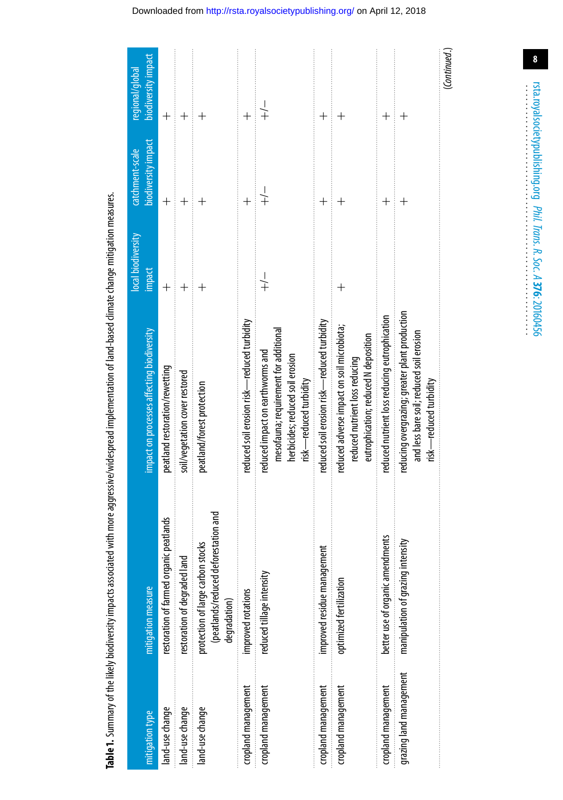|                         |                                                                                           |                                                                                                                                         | local biodiversity | catchment-scale     | regional/global                  |
|-------------------------|-------------------------------------------------------------------------------------------|-----------------------------------------------------------------------------------------------------------------------------------------|--------------------|---------------------|----------------------------------|
| ittigation type         | mitigation measure                                                                        | impact on processes affecting biodiversity                                                                                              | impact             | biodiversity impact | biodiversity impact              |
| land-use change         | restoration of farmed organic peatlands                                                   | peatland restoration/rewetting                                                                                                          | $\overline{+}$     | $\overline{+}$      | $^{+}$                           |
| land-use change         | restoration of degraded land                                                              | soil/vegetation cover restored                                                                                                          |                    |                     |                                  |
| land-use change         | (peatlands/reduced deforestation and<br>protection of large carbon stocks<br>degradation) | peatland/forest protection                                                                                                              |                    |                     |                                  |
| cropland management     | improved rotations                                                                        | reduced soil erosion risk—reduced turbidity                                                                                             |                    |                     |                                  |
| cropland management     | reduced tillage intensity                                                                 | mesofauna; requirement for additional<br>reduced impact on earthworms and<br>herbicides; reduced soil erosion<br>risk-reduced turbidity | $\frac{1}{+}$      |                     | $\frac{1}{+}$                    |
| cropland management     | improved residue management                                                               | reduced soil erosion risk—reduced turbidity                                                                                             |                    |                     |                                  |
| cropland management     | optimized fertilization                                                                   | reduced adverse impact on soil microbiota;<br>eutrophication; reduced N deposition<br>reduced nutrient loss reducing                    | $^{+}$             |                     |                                  |
| cropland management     | better use of organic amendments                                                          | reduced nutrient loss reducing eutrophication                                                                                           |                    |                     | $\overline{+}$                   |
| grazing land management | manipulation of grazing intensity                                                         | reducing overgrazing; greater plant production<br>and less bare soil; reduced soil erosion<br>risk—reduced turbidity                    |                    |                     | $\hspace{0.1mm} +\hspace{0.1mm}$ |
|                         |                                                                                           |                                                                                                                                         |                    |                     | (Continued.                      |

<span id="page-7-0"></span>Table 1. Summary of the likely biodiversity impacts associated with more aggressive/widespread implementation of land-based climate change mitigation measures.

 $\bf{8}$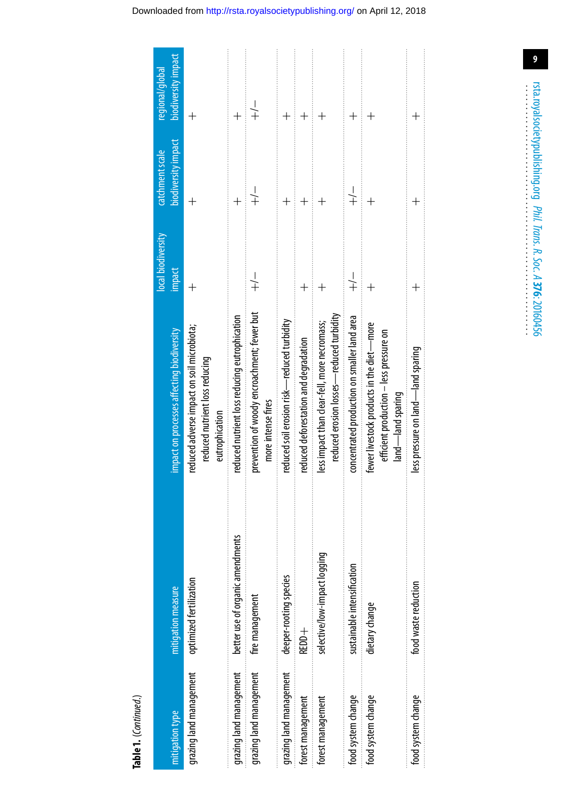|                         |                                  |                                                                                                           | local biodiversity | catchment scale     | regional/global         |
|-------------------------|----------------------------------|-----------------------------------------------------------------------------------------------------------|--------------------|---------------------|-------------------------|
| mitigation type         | mitigation measure               | impact on processes affecting biodiversity                                                                | impact             | biodiversity impact | biodiversity impact     |
| grazing land management | optimized fertilization          | reduced adverse impact on soil microbiota;<br>reduced nutrient loss reducing<br>eutrophication            |                    | $^{+}$              |                         |
| grazing land management | better use of organic amendments | reduced nutrient loss reducing eutrophication                                                             |                    |                     |                         |
| grazing land management | fire management                  | prevention of woody encroachment; fewer but<br>more intense fires                                         | $\frac{1}{+}$      | $\frac{1}{+}$       | $\overset{\text{+}}{+}$ |
| grazing land management | deeper-rooting species           | reduced soil erosion risk—reduced turbidity                                                               |                    | $\overline{+}$      | $\hspace{0.1mm} +$      |
| forest management       | REDD+                            | educed deforestation and degradation                                                                      | $\overline{+}$     | $\ddot{}$           |                         |
| forest management       | selective/low-impact logging     | reduced erosion losses—reduced turbidity<br>less impact than clear-fell, more necromass;                  |                    |                     |                         |
| food system change      | sustainable intensification      | concentrated production on smaller land area                                                              | $\frac{1}{+}$      | $\frac{1}{+}$       |                         |
| food system change      | dietary change                   | fewer livestock products in the diet-more<br>efficient production - less pressure on<br>land—land sparing |                    | $\overline{+}$      |                         |
| food system change      | food waste reduction             | less pressure on land—land sparing                                                                        |                    |                     |                         |
|                         |                                  |                                                                                                           |                    |                     |                         |

Table 1. (Continued.)

## Downloaded from http://rsta.royalsocietypublishing.org/ on April 12, 2018

rsta.royalsocietypublishing.org Phil. Trans. R. Soc. A 376: 20160456

 $\overline{9}$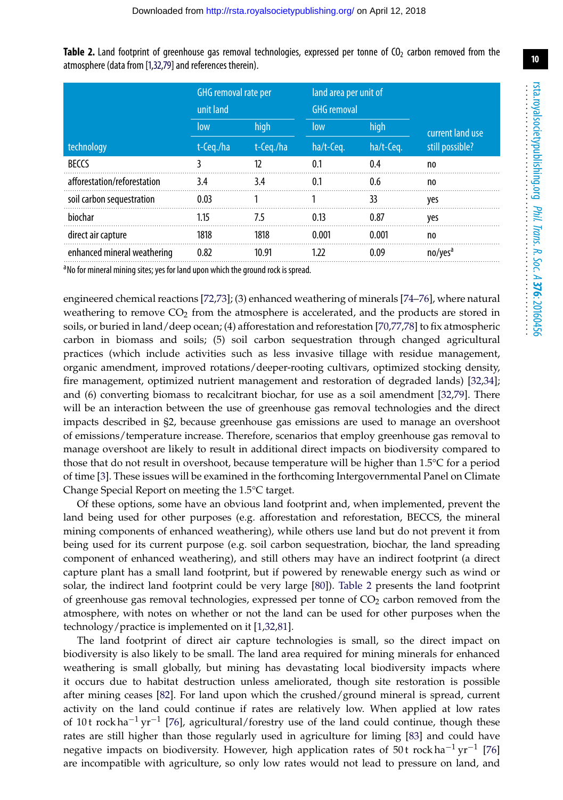|                             | GHG removal rate per<br>unit land |           | land area per unit of<br><b>GHG</b> removal |           |                     |  |
|-----------------------------|-----------------------------------|-----------|---------------------------------------------|-----------|---------------------|--|
|                             | high<br>low                       |           | high<br>low                                 |           | current land use    |  |
| technology                  | t-Ceg./ha                         | t-Ceg./ha | ha/t-Ceq.                                   | ha/t-Ceq. | still possible?     |  |
| <b>BECCS</b>                |                                   | 12        | 0.1                                         | 0.4       | no                  |  |
| afforestation/reforestation | 3.4                               | 3.4       | 0.1                                         | 0.6       | no.                 |  |
| soil carbon sequestration   | 0.03                              |           |                                             | 33        | ves                 |  |
| biochar                     | 1.15                              | 7.5       | 0.13                                        | 0.87      | yes                 |  |
| direct air capture          | 1818                              | 1818      | 0.001                                       | 0.001     | no                  |  |
| enhanced mineral weathering | 0.82                              | 10.91     | 1.22                                        | 0.09      | no/yes <sup>a</sup> |  |

<span id="page-9-0"></span>**Table 2.** Land footprint of greenhouse gas removal technologies, expressed per tonne of CO<sub>2</sub> carbon removed from the atmosphere (data from [\[1,](#page-13-0)[32](#page-14-16)[,79\]](#page-16-8) and references therein).

<sup>a</sup> No for mineral mining sites; yes for land upon which the ground rock is spread.

engineered chemical reactions [\[72,](#page-16-9)[73\]](#page-16-10); (3) enhanced weathering of minerals [\[74–](#page-16-11)[76\]](#page-16-12), where natural weathering to remove  $CO<sub>2</sub>$  from the atmosphere is accelerated, and the products are stored in soils, or buried in land/deep ocean; (4) afforestation and reforestation [\[70,](#page-16-6)[77](#page-16-13)[,78\]](#page-16-14) to fix atmospheric carbon in biomass and soils; (5) soil carbon sequestration through changed agricultural practices (which include activities such as less invasive tillage with residue management, organic amendment, improved rotations/deeper-rooting cultivars, optimized stocking density, fire management, optimized nutrient management and restoration of degraded lands) [\[32,](#page-14-16)[34\]](#page-14-18); and (6) converting biomass to recalcitrant biochar, for use as a soil amendment [\[32,](#page-14-16)[79\]](#page-16-8). There will be an interaction between the use of greenhouse gas removal technologies and the direct impacts described in §2, because greenhouse gas emissions are used to manage an overshoot of emissions/temperature increase. Therefore, scenarios that employ greenhouse gas removal to manage overshoot are likely to result in additional direct impacts on biodiversity compared to those that do not result in overshoot, because temperature will be higher than 1.5°C for a period of time [\[3\]](#page-13-1). These issues will be examined in the forthcoming Intergovernmental Panel on Climate Change Special Report on meeting the 1.5°C target.

Of these options, some have an obvious land footprint and, when implemented, prevent the land being used for other purposes (e.g. afforestation and reforestation, BECCS, the mineral mining components of enhanced weathering), while others use land but do not prevent it from being used for its current purpose (e.g. soil carbon sequestration, biochar, the land spreading component of enhanced weathering), and still others may have an indirect footprint (a direct capture plant has a small land footprint, but if powered by renewable energy such as wind or solar, the indirect land footprint could be very large [\[80\]](#page-16-15)). [Table 2](#page-9-0) presents the land footprint of greenhouse gas removal technologies, expressed per tonne of  $CO<sub>2</sub>$  carbon removed from the atmosphere, with notes on whether or not the land can be used for other purposes when the technology/practice is implemented on it [\[1](#page-13-0)[,32](#page-14-16)[,81\]](#page-16-16).

The land footprint of direct air capture technologies is small, so the direct impact on biodiversity is also likely to be small. The land area required for mining minerals for enhanced weathering is small globally, but mining has devastating local biodiversity impacts where it occurs due to habitat destruction unless ameliorated, though site restoration is possible after mining ceases [\[82\]](#page-16-17). For land upon which the crushed/ground mineral is spread, current activity on the land could continue if rates are relatively low. When applied at low rates of 10 t rock ha<sup>-1</sup> yr<sup>-1</sup> [\[76\]](#page-16-12), agricultural/forestry use of the land could continue, though these rates are still higher than those regularly used in agriculture for liming [\[83\]](#page-16-18) and could have negative impacts on biodiversity. However, high application rates of 50 t rock ha<sup>-1</sup> yr<sup>-1</sup> [\[76\]](#page-16-12) are incompatible with agriculture, so only low rates would not lead to pressure on land, and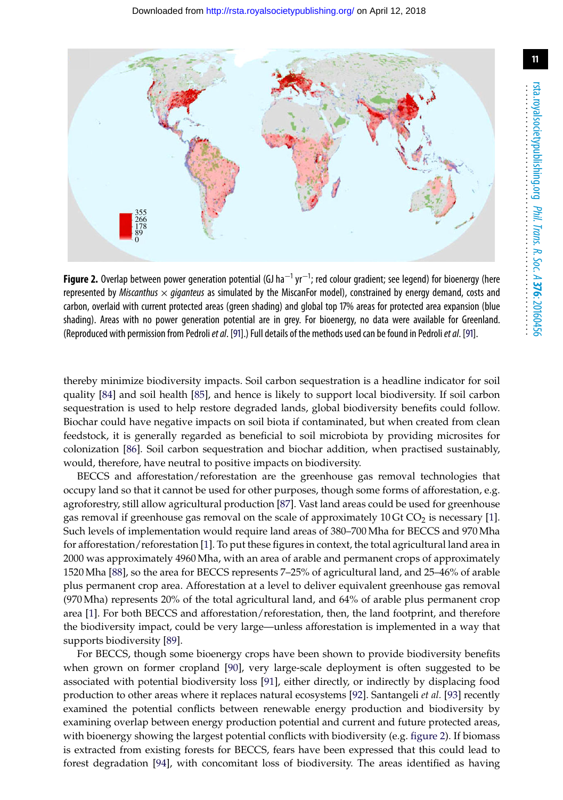

<span id="page-10-0"></span>**Figure 2.** Overlap between power generation potential (GJ ha<sup>−1</sup> yr<sup>−1</sup>; red colour gradient; see legend) for bioenergy (here represented by *Miscanthus* × *giganteus* as simulated by the MiscanFor model), constrained by energy demand, costs and carbon, overlaid with current protected areas (green shading) and global top 17% areas for protected area expansion (blue shading). Areas with no power generation potential are in grey. For bioenergy, no data were available for Greenland. (Reproduced with permission from Pedroli*et al*. [\[91\]](#page-17-0).) Full details of the methods used can be found in Pedroli*et al*. [\[91\]](#page-17-0).

thereby minimize biodiversity impacts. Soil carbon sequestration is a headline indicator for soil quality [\[84\]](#page-16-19) and soil health [\[85\]](#page-16-20), and hence is likely to support local biodiversity. If soil carbon sequestration is used to help restore degraded lands, global biodiversity benefits could follow. Biochar could have negative impacts on soil biota if contaminated, but when created from clean feedstock, it is generally regarded as beneficial to soil microbiota by providing microsites for colonization [\[86\]](#page-16-21). Soil carbon sequestration and biochar addition, when practised sustainably, would, therefore, have neutral to positive impacts on biodiversity.

BECCS and afforestation/reforestation are the greenhouse gas removal technologies that occupy land so that it cannot be used for other purposes, though some forms of afforestation, e.g. agroforestry, still allow agricultural production [\[87\]](#page-17-1). Vast land areas could be used for greenhouse gas removal if greenhouse gas removal on the scale of approximately  $10 \text{ Gt CO}_2$  is necessary [\[1\]](#page-13-0). Such levels of implementation would require land areas of 380–700 Mha for BECCS and 970 Mha for afforestation/reforestation [\[1\]](#page-13-0). To put these figures in context, the total agricultural land area in 2000 was approximately 4960 Mha, with an area of arable and permanent crops of approximately 1520 Mha [\[88\]](#page-17-2), so the area for BECCS represents 7–25% of agricultural land, and 25–46% of arable plus permanent crop area. Afforestation at a level to deliver equivalent greenhouse gas removal (970 Mha) represents 20% of the total agricultural land, and 64% of arable plus permanent crop area [\[1\]](#page-13-0). For both BECCS and afforestation/reforestation, then, the land footprint, and therefore the biodiversity impact, could be very large—unless afforestation is implemented in a way that supports biodiversity [\[89\]](#page-17-3).

For BECCS, though some bioenergy crops have been shown to provide biodiversity benefits when grown on former cropland [\[90\]](#page-17-4), very large-scale deployment is often suggested to be associated with potential biodiversity loss [\[91\]](#page-17-0), either directly, or indirectly by displacing food production to other areas where it replaces natural ecosystems [\[92\]](#page-17-5). Santangeli *et al.* [\[93\]](#page-17-6) recently examined the potential conflicts between renewable energy production and biodiversity by examining overlap between energy production potential and current and future protected areas, with bioenergy showing the largest potential conflicts with biodiversity (e.g. [figure 2\)](#page-10-0). If biomass is extracted from existing forests for BECCS, fears have been expressed that this could lead to forest degradation [\[94\]](#page-17-7), with concomitant loss of biodiversity. The areas identified as having

**11**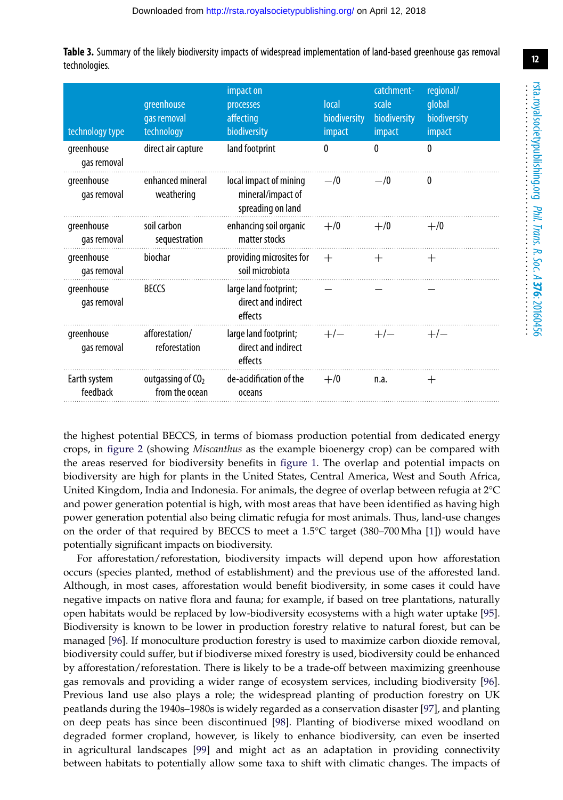<span id="page-11-0"></span>

|               | <b>Table 3.</b> Summary of the likely biodiversity impacts of widespread implementation of land-based greenhouse gas removal |  |  |  |
|---------------|------------------------------------------------------------------------------------------------------------------------------|--|--|--|
| technologies. |                                                                                                                              |  |  |  |

| technology type           | greenhouse<br>gas removal<br>technology | impact on<br>processes<br>affecting<br>biodiversity              | <b>local</b><br>biodiversity<br>impact | catchment-<br>scale<br>biodiversity<br>impact | regional/<br>global<br>biodiversity<br>impact |
|---------------------------|-----------------------------------------|------------------------------------------------------------------|----------------------------------------|-----------------------------------------------|-----------------------------------------------|
| greenhouse<br>gas removal | direct air capture                      | land footprint                                                   | 0                                      | 0                                             | $\theta$                                      |
| greenhouse<br>gas removal | enhanced mineral<br>weathering          | local impact of mining<br>mineral/impact of<br>spreading on land | $-$ /0                                 | $-1/0$                                        | 0                                             |
| greenhouse<br>gas removal | soil carbon<br>sequestration            | enhancing soil organic $+$ /0<br>matter stocks                   |                                        | $+/0$                                         | $+/0$                                         |
| greenhouse<br>gas removal | biochar                                 | providing microsites for<br>soil microbiota                      | $^{+}$                                 | $^{+}$                                        | $^{+}$                                        |
| greenhouse<br>gas removal | <b>BECCS</b>                            | large land footprint;<br>direct and indirect<br>effects          |                                        |                                               |                                               |
| greenhouse<br>gas removal | afforestation/<br>reforestation         | large land footprint;<br>direct and indirect<br>effects          | $+/-$                                  | $+/-$                                         | $+/-$                                         |
| Earth system<br>feedback  | outgassing of $CO2$<br>from the ocean   | de-acidification of the<br>oceans                                | $+/0$                                  | n.a.                                          | $^{+}$                                        |

the highest potential BECCS, in terms of biomass production potential from dedicated energy crops, in [figure 2](#page-10-0) (showing *Miscanthus* as the example bioenergy crop) can be compared with the areas reserved for biodiversity benefits in [figure 1.](#page-3-0) The overlap and potential impacts on biodiversity are high for plants in the United States, Central America, West and South Africa, United Kingdom, India and Indonesia. For animals, the degree of overlap between refugia at 2°C and power generation potential is high, with most areas that have been identified as having high power generation potential also being climatic refugia for most animals. Thus, land-use changes on the order of that required by BECCS to meet a 1.5°C target (380–700 Mha [\[1\]](#page-13-0)) would have potentially significant impacts on biodiversity.

For afforestation/reforestation, biodiversity impacts will depend upon how afforestation occurs (species planted, method of establishment) and the previous use of the afforested land. Although, in most cases, afforestation would benefit biodiversity, in some cases it could have negative impacts on native flora and fauna; for example, if based on tree plantations, naturally open habitats would be replaced by low-biodiversity ecosystems with a high water uptake [\[95\]](#page-17-8). Biodiversity is known to be lower in production forestry relative to natural forest, but can be managed [\[96\]](#page-17-9). If monoculture production forestry is used to maximize carbon dioxide removal, biodiversity could suffer, but if biodiverse mixed forestry is used, biodiversity could be enhanced by afforestation/reforestation. There is likely to be a trade-off between maximizing greenhouse gas removals and providing a wider range of ecosystem services, including biodiversity [\[96\]](#page-17-9). Previous land use also plays a role; the widespread planting of production forestry on UK peatlands during the 1940s–1980s is widely regarded as a conservation disaster [\[97\]](#page-17-10), and planting on deep peats has since been discontinued [\[98\]](#page-17-11). Planting of biodiverse mixed woodland on degraded former cropland, however, is likely to enhance biodiversity, can even be inserted in agricultural landscapes [\[99\]](#page-17-12) and might act as an adaptation in providing connectivity between habitats to potentially allow some taxa to shift with climatic changes. The impacts of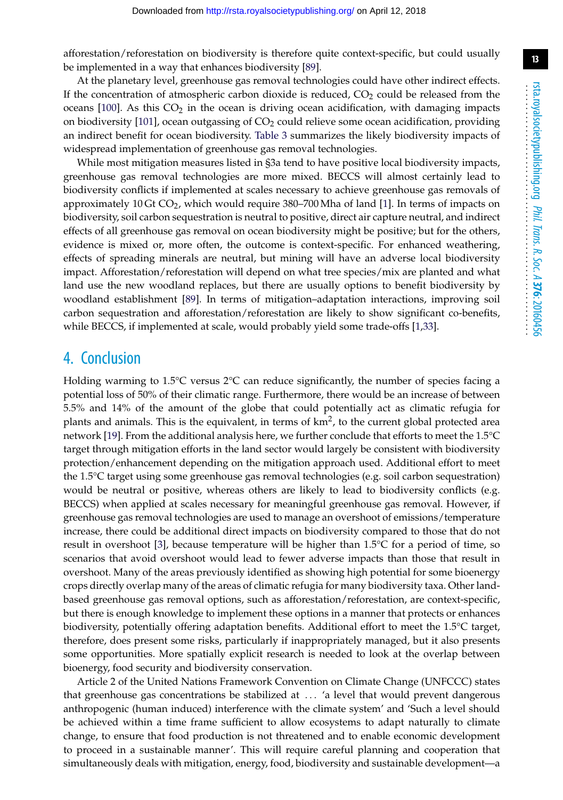afforestation/reforestation on biodiversity is therefore quite context-specific, but could usually be implemented in a way that enhances biodiversity [\[89\]](#page-17-3).

At the planetary level, greenhouse gas removal technologies could have other indirect effects. If the concentration of atmospheric carbon dioxide is reduced,  $CO<sub>2</sub>$  could be released from the oceans  $[100]$ . As this  $CO<sub>2</sub>$  in the ocean is driving ocean acidification, with damaging impacts on biodiversity  $[101]$ , ocean outgassing of  $CO<sub>2</sub>$  could relieve some ocean acidification, providing an indirect benefit for ocean biodiversity. [Table 3](#page-11-0) summarizes the likely biodiversity impacts of widespread implementation of greenhouse gas removal technologies.

While most mitigation measures listed in §3a tend to have positive local biodiversity impacts, greenhouse gas removal technologies are more mixed. BECCS will almost certainly lead to biodiversity conflicts if implemented at scales necessary to achieve greenhouse gas removals of approximately 10 Gt  $CO<sub>2</sub>$ , which would require 380–700 Mha of land [\[1\]](#page-13-0). In terms of impacts on biodiversity, soil carbon sequestration is neutral to positive, direct air capture neutral, and indirect effects of all greenhouse gas removal on ocean biodiversity might be positive; but for the others, evidence is mixed or, more often, the outcome is context-specific. For enhanced weathering, effects of spreading minerals are neutral, but mining will have an adverse local biodiversity impact. Afforestation/reforestation will depend on what tree species/mix are planted and what land use the new woodland replaces, but there are usually options to benefit biodiversity by woodland establishment [\[89\]](#page-17-3). In terms of mitigation–adaptation interactions, improving soil carbon sequestration and afforestation/reforestation are likely to show significant co-benefits, while BECCS, if implemented at scale, would probably yield some trade-offs [\[1](#page-13-0)[,33\]](#page-14-17).

## 4. Conclusion

Holding warming to 1.5°C versus 2°C can reduce significantly, the number of species facing a potential loss of 50% of their climatic range. Furthermore, there would be an increase of between 5.5% and 14% of the amount of the globe that could potentially act as climatic refugia for plants and animals. This is the equivalent, in terms of  $km^2$ , to the current global protected area network [\[19\]](#page-14-3). From the additional analysis here, we further conclude that efforts to meet the 1.5°C target through mitigation efforts in the land sector would largely be consistent with biodiversity protection/enhancement depending on the mitigation approach used. Additional effort to meet the 1.5°C target using some greenhouse gas removal technologies (e.g. soil carbon sequestration) would be neutral or positive, whereas others are likely to lead to biodiversity conflicts (e.g. BECCS) when applied at scales necessary for meaningful greenhouse gas removal. However, if greenhouse gas removal technologies are used to manage an overshoot of emissions/temperature increase, there could be additional direct impacts on biodiversity compared to those that do not result in overshoot [\[3\]](#page-13-1), because temperature will be higher than 1.5°C for a period of time, so scenarios that avoid overshoot would lead to fewer adverse impacts than those that result in overshoot. Many of the areas previously identified as showing high potential for some bioenergy crops directly overlap many of the areas of climatic refugia for many biodiversity taxa. Other landbased greenhouse gas removal options, such as afforestation/reforestation, are context-specific, but there is enough knowledge to implement these options in a manner that protects or enhances biodiversity, potentially offering adaptation benefits. Additional effort to meet the 1.5°C target, therefore, does present some risks, particularly if inappropriately managed, but it also presents some opportunities. More spatially explicit research is needed to look at the overlap between bioenergy, food security and biodiversity conservation.

Article 2 of the United Nations Framework Convention on Climate Change (UNFCCC) states that greenhouse gas concentrations be stabilized at *...* 'a level that would prevent dangerous anthropogenic (human induced) interference with the climate system' and 'Such a level should be achieved within a time frame sufficient to allow ecosystems to adapt naturally to climate change, to ensure that food production is not threatened and to enable economic development to proceed in a sustainable manner'. This will require careful planning and cooperation that simultaneously deals with mitigation, energy, food, biodiversity and sustainable development—a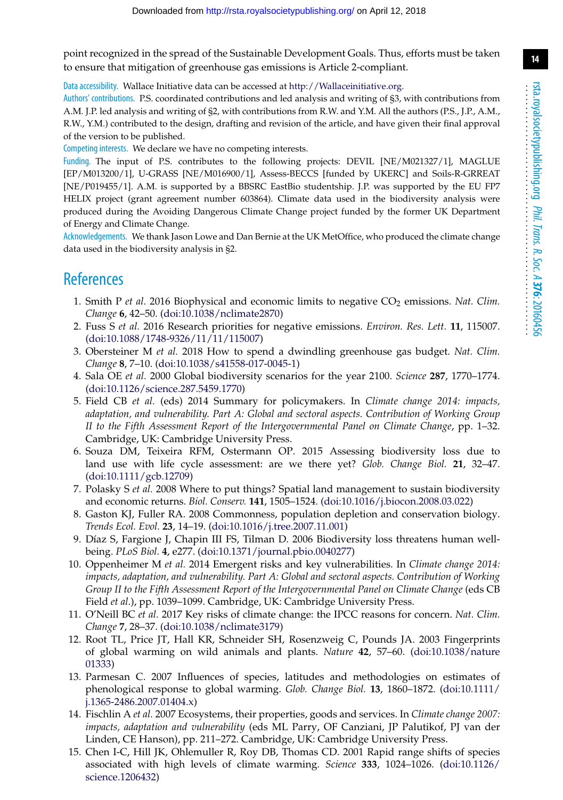**14**

point recognized in the spread of the Sustainable Development Goals. Thus, efforts must be taken to ensure that mitigation of greenhouse gas emissions is Article 2-compliant.

Data accessibility. Wallace Initiative data can be accessed at [http://Wallaceinitiative.org.](http://Wallaceinitiative.org)

Authors' contributions. P.S. coordinated contributions and led analysis and writing of §3, with contributions from A.M. J.P. led analysis and writing of §2, with contributions from R.W. and Y.M. All the authors (P.S., J.P., A.M., R.W., Y.M.) contributed to the design, drafting and revision of the article, and have given their final approval of the version to be published.

Competing interests. We declare we have no competing interests.

Funding. The input of P.S. contributes to the following projects: DEVIL [NE/M021327/1], MAGLUE [EP/M013200/1], U-GRASS [NE/M016900/1], Assess-BECCS [funded by UKERC] and Soils-R-GRREAT [NE/P019455/1]. A.M. is supported by a BBSRC EastBio studentship. J.P. was supported by the EU FP7 HELIX project (grant agreement number 603864). Climate data used in the biodiversity analysis were produced during the Avoiding Dangerous Climate Change project funded by the former UK Department of Energy and Climate Change.

Acknowledgements. We thank Jason Lowe and Dan Bernie at the UK MetOffice, who produced the climate change data used in the biodiversity analysis in §2.

## <span id="page-13-0"></span>**References**

- 1. Smith P *et al.* 2016 Biophysical and economic limits to negative CO<sub>2</sub> emissions. Nat. Clim. *Change* **6**, 42–50. [\(doi:10.1038/nclimate2870\)](http://dx.doi.org/10.1038/nclimate2870)
- <span id="page-13-14"></span>2. Fuss S *et al.* 2016 Research priorities for negative emissions. *Environ. Res. Lett.* **11**, 115007. [\(doi:10.1088/1748-9326/11/11/115007\)](http://dx.doi.org/10.1088/1748-9326/11/11/115007)
- <span id="page-13-1"></span>3. Obersteiner M *et al.* 2018 How to spend a dwindling greenhouse gas budget. *Nat. Clim. Change* **8**, 7–10. [\(doi:10.1038/s41558-017-0045-1\)](http://dx.doi.org/10.1038/s41558-017-0045-1)
- <span id="page-13-2"></span>4. Sala OE *et al.* 2000 Global biodiversity scenarios for the year 2100. *Science* **287**, 1770–1774. [\(doi:10.1126/science.287.5459.1770\)](http://dx.doi.org/10.1126/science.287.5459.1770)
- <span id="page-13-3"></span>5. Field CB *et al.* (eds) 2014 Summary for policymakers. In *Climate change 2014: impacts, adaptation, and vulnerability. Part A: Global and sectoral aspects. Contribution of Working Group II to the Fifth Assessment Report of the Intergovernmental Panel on Climate Change*, pp. 1–32. Cambridge, UK: Cambridge University Press.
- <span id="page-13-4"></span>6. Souza DM, Teixeira RFM, Ostermann OP. 2015 Assessing biodiversity loss due to land use with life cycle assessment: are we there yet? *Glob. Change Biol.* **21**, 32–47. [\(doi:10.1111/gcb.12709\)](http://dx.doi.org/10.1111/gcb.12709)
- <span id="page-13-5"></span>7. Polasky S *et al.* 2008 Where to put things? Spatial land management to sustain biodiversity and economic returns. *Biol. Conserv.* **141**, 1505–1524. [\(doi:10.1016/j.biocon.2008.03.022\)](http://dx.doi.org/10.1016/j.biocon.2008.03.022)
- <span id="page-13-6"></span>8. Gaston KJ, Fuller RA. 2008 Commonness, population depletion and conservation biology. *Trends Ecol. Evol.* **23**, 14–19. [\(doi:10.1016/j.tree.2007.11.001\)](http://dx.doi.org/10.1016/j.tree.2007.11.001)
- <span id="page-13-7"></span>9. Díaz S, Fargione J, Chapin III FS, Tilman D. 2006 Biodiversity loss threatens human wellbeing. *PLoS Biol.* **4**, e277. [\(doi:10.1371/journal.pbio.0040277\)](http://dx.doi.org/10.1371/journal.pbio.0040277)
- <span id="page-13-8"></span>10. Oppenheimer M *et al.* 2014 Emergent risks and key vulnerabilities. In *Climate change 2014: impacts, adaptation, and vulnerability. Part A: Global and sectoral aspects. Contribution of Working Group II to the Fifth Assessment Report of the Intergovernmental Panel on Climate Change* (eds CB Field *et al*.), pp. 1039–1099. Cambridge, UK: Cambridge University Press.
- <span id="page-13-9"></span>11. O'Neill BC *et al.* 2017 Key risks of climate change: the IPCC reasons for concern. *Nat. Clim. Change* **7**, 28–37. [\(doi:10.1038/nclimate3179\)](http://dx.doi.org/10.1038/nclimate3179)
- <span id="page-13-10"></span>12. Root TL, Price JT, Hall KR, Schneider SH, Rosenzweig C, Pounds JA. 2003 Fingerprints of global warming on wild animals and plants. *Nature* **42**, 57–60. [\(doi:10.1038/nature](http://dx.doi.org/10.1038/nature01333) [01333\)](http://dx.doi.org/10.1038/nature01333)
- <span id="page-13-11"></span>13. Parmesan C. 2007 Influences of species, latitudes and methodologies on estimates of phenological response to global warming. *Glob. Change Biol.* **13**, 1860–1872. [\(doi:10.1111/](http://dx.doi.org/10.1111/j.1365-2486.2007.01404.x) [j.1365-2486.2007.01404.x\)](http://dx.doi.org/10.1111/j.1365-2486.2007.01404.x)
- <span id="page-13-12"></span>14. Fischlin A *et al.* 2007 Ecosystems, their properties, goods and services. In *Climate change 2007: impacts, adaptation and vulnerability* (eds ML Parry, OF Canziani, JP Palutikof, PJ van der Linden, CE Hanson), pp. 211–272. Cambridge, UK: Cambridge University Press.
- <span id="page-13-13"></span>15. Chen I-C, Hill JK, Ohlemuller R, Roy DB, Thomas CD. 2001 Rapid range shifts of species associated with high levels of climate warming. *Science* **333**, 1024–1026. [\(doi:10.1126/](http://dx.doi.org/10.1126/science.1206432) [science.1206432\)](http://dx.doi.org/10.1126/science.1206432)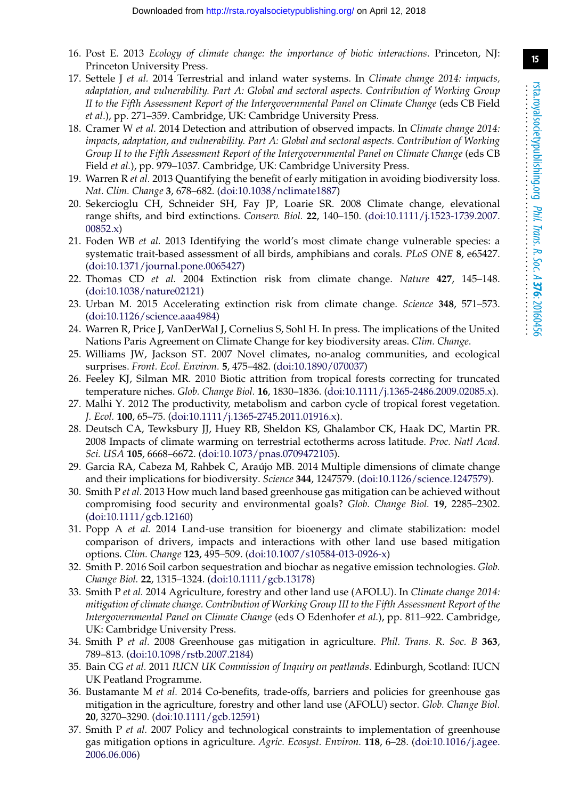- <span id="page-14-0"></span>16. Post E. 2013 *Ecology of climate change: the importance of biotic interactions*. Princeton, NJ: Princeton University Press.
- <span id="page-14-1"></span>17. Settele J *et al.* 2014 Terrestrial and inland water systems. In *Climate change 2014: impacts, adaptation, and vulnerability. Part A: Global and sectoral aspects. Contribution of Working Group II to the Fifth Assessment Report of the Intergovernmental Panel on Climate Change* (eds CB Field *et al*.), pp. 271–359. Cambridge, UK: Cambridge University Press.
- <span id="page-14-2"></span>18. Cramer W *et al.* 2014 Detection and attribution of observed impacts. In *Climate change 2014: impacts, adaptation, and vulnerability. Part A: Global and sectoral aspects. Contribution of Working Group II to the Fifth Assessment Report of the Intergovernmental Panel on Climate Change* (eds CB Field *et al.*), pp. 979–1037. Cambridge, UK: Cambridge University Press.
- <span id="page-14-3"></span>19. Warren R *et al.* 2013 Quantifying the benefit of early mitigation in avoiding biodiversity loss. *Nat. Clim. Change* **3**, 678–682. [\(doi:10.1038/nclimate1887\)](http://dx.doi.org/10.1038/nclimate1887)
- <span id="page-14-4"></span>20. Sekercioglu CH, Schneider SH, Fay JP, Loarie SR. 2008 Climate change, elevational range shifts, and bird extinctions. *Conserv. Biol.* **22**, 140–150. [\(doi:10.1111/j.1523-1739.2007.](http://dx.doi.org/10.1111/j.1523-1739.2007.00852.x)  $00852.x$
- <span id="page-14-5"></span>21. Foden WB *et al.* 2013 Identifying the world's most climate change vulnerable species: a systematic trait-based assessment of all birds, amphibians and corals. *PLoS ONE* **8**, e65427. [\(doi:10.1371/journal.pone.0065427\)](http://dx.doi.org/10.1371/journal.pone.0065427)
- <span id="page-14-6"></span>22. Thomas CD *et al.* 2004 Extinction risk from climate change. *Nature* **427**, 145–148. [\(doi:10.1038/nature02121\)](http://dx.doi.org/10.1038/nature02121)
- <span id="page-14-7"></span>23. Urban M. 2015 Accelerating extinction risk from climate change. *Science* **348**, 571–573. [\(doi:10.1126/science.aaa4984\)](http://dx.doi.org/10.1126/science.aaa4984)
- <span id="page-14-8"></span>24. Warren R, Price J, VanDerWal J, Cornelius S, Sohl H. In press. The implications of the United Nations Paris Agreement on Climate Change for key biodiversity areas. *Clim. Change*.
- <span id="page-14-9"></span>25. Williams JW, Jackson ST. 2007 Novel climates, no-analog communities, and ecological surprises. *Front. Ecol. Environ.* **5**, 475–482. [\(doi:10.1890/070037\)](http://dx.doi.org/10.1890/070037)
- <span id="page-14-10"></span>26. Feeley KJ, Silman MR. 2010 Biotic attrition from tropical forests correcting for truncated temperature niches. *Glob. Change Biol.* **16**, 1830–1836. [\(doi:10.1111/j.1365-2486.2009.02085.x\)](http://dx.doi.org/10.1111/j.1365-2486.2009.02085.x).
- <span id="page-14-11"></span>27. Malhi Y. 2012 The productivity, metabolism and carbon cycle of tropical forest vegetation. *J. Ecol.* **100**, 65–75. [\(doi:10.1111/j.1365-2745.2011.01916.x\)](http://dx.doi.org/10.1111/j.1365-2745.2011.01916.x).
- <span id="page-14-12"></span>28. Deutsch CA, Tewksbury JJ, Huey RB, Sheldon KS, Ghalambor CK, Haak DC, Martin PR. 2008 Impacts of climate warming on terrestrial ectotherms across latitude. *Proc. Natl Acad. Sci. USA* **105**, 6668–6672. [\(doi:10.1073/pnas.0709472105\)](http://dx.doi.org/10.1073/pnas.0709472105).
- <span id="page-14-13"></span>29. Garcia RA, Cabeza M, Rahbek C, Araújo MB. 2014 Multiple dimensions of climate change and their implications for biodiversity. *Science* **344**, 1247579. [\(doi:10.1126/science.1247579\)](http://dx.doi.org/10.1126/science.1247579).
- <span id="page-14-14"></span>30. Smith P *et al.* 2013 How much land based greenhouse gas mitigation can be achieved without compromising food security and environmental goals? *Glob. Change Biol.* **19**, 2285–2302. [\(doi:10.1111/gcb.12160\)](http://dx.doi.org/10.1111/gcb.12160)
- <span id="page-14-15"></span>31. Popp A *et al.* 2014 Land-use transition for bioenergy and climate stabilization: model comparison of drivers, impacts and interactions with other land use based mitigation options. *Clim. Change* **123**, 495–509. [\(doi:10.1007/s10584-013-0926-x\)](http://dx.doi.org/10.1007/s10584-013-0926-x)
- <span id="page-14-16"></span>32. Smith P. 2016 Soil carbon sequestration and biochar as negative emission technologies. *Glob. Change Biol.* **22**, 1315–1324. [\(doi:10.1111/gcb.13178\)](http://dx.doi.org/10.1111/gcb.13178)
- <span id="page-14-17"></span>33. Smith P *et al.* 2014 Agriculture, forestry and other land use (AFOLU). In *Climate change 2014: mitigation of climate change. Contribution of Working Group III to the Fifth Assessment Report of the Intergovernmental Panel on Climate Change* (eds O Edenhofer *et al.*), pp. 811–922. Cambridge, UK: Cambridge University Press.
- <span id="page-14-18"></span>34. Smith P *et al.* 2008 Greenhouse gas mitigation in agriculture. *Phil. Trans. R. Soc. B* **363**, 789–813. [\(doi:10.1098/rstb.2007.2184\)](http://dx.doi.org/10.1098/rstb.2007.2184)
- <span id="page-14-19"></span>35. Bain CG *et al.* 2011 *IUCN UK Commission of Inquiry on peatlands*. Edinburgh, Scotland: IUCN UK Peatland Programme.
- <span id="page-14-20"></span>36. Bustamante M *et al.* 2014 Co-benefits, trade-offs, barriers and policies for greenhouse gas mitigation in the agriculture, forestry and other land use (AFOLU) sector. *Glob. Change Biol.* **20**, 3270–3290. [\(doi:10.1111/gcb.12591\)](http://dx.doi.org/10.1111/gcb.12591)
- <span id="page-14-21"></span>37. Smith P *et al.* 2007 Policy and technological constraints to implementation of greenhouse gas mitigation options in agriculture. *Agric. Ecosyst. Environ.* **118**, 6–28. [\(doi:10.1016/j.agee.](http://dx.doi.org/10.1016/j.agee.2006.06.006) [2006.06.006\)](http://dx.doi.org/10.1016/j.agee.2006.06.006)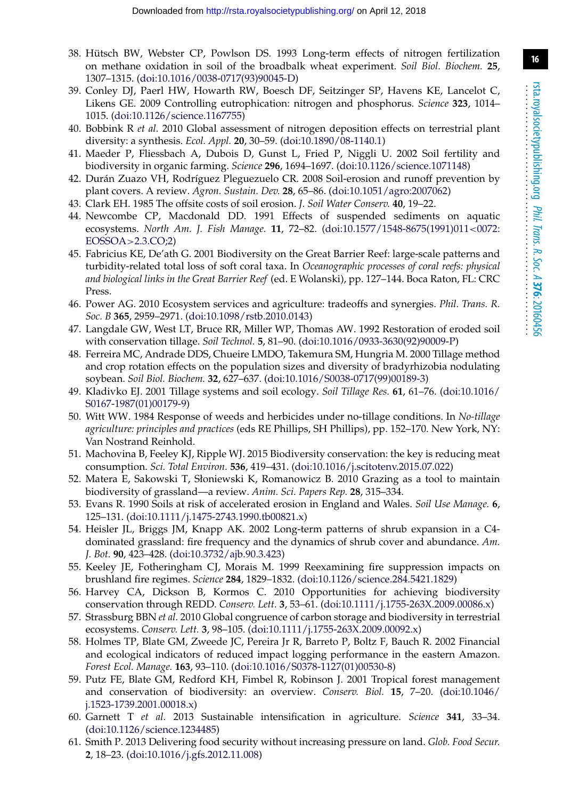- <span id="page-15-0"></span>38. Hütsch BW, Webster CP, Powlson DS. 1993 Long-term effects of nitrogen fertilization on methane oxidation in soil of the broadbalk wheat experiment. *Soil Biol. Biochem.* **25**, 1307–1315. [\(doi:10.1016/0038-0717\(93\)90045-D\)](http://dx.doi.org/10.1016/0038-0717(93)90045-D)
- <span id="page-15-1"></span>39. Conley DJ, Paerl HW, Howarth RW, Boesch DF, Seitzinger SP, Havens KE, Lancelot C, Likens GE. 2009 Controlling eutrophication: nitrogen and phosphorus. *Science* **323**, 1014– 1015. [\(doi:10.1126/science.1167755\)](http://dx.doi.org/10.1126/science.1167755)
- <span id="page-15-2"></span>40. Bobbink R *et al.* 2010 Global assessment of nitrogen deposition effects on terrestrial plant diversity: a synthesis. *Ecol. Appl.* **20**, 30–59. [\(doi:10.1890/08-1140.1\)](http://dx.doi.org/10.1890/08-1140.1)
- <span id="page-15-3"></span>41. Maeder P, Fliessbach A, Dubois D, Gunst L, Fried P, Niggli U. 2002 Soil fertility and biodiversity in organic farming. *Science* **296**, 1694–1697. [\(doi:10.1126/science.1071148\)](http://dx.doi.org/10.1126/science.1071148)
- <span id="page-15-4"></span>42. Durán Zuazo VH, Rodríguez Pleguezuelo CR. 2008 Soil-erosion and runoff prevention by plant covers. A review*. Agron. Sustain. Dev.* **28**, 65–86. [\(doi:10.1051/agro:2007062\)](http://dx.doi.org/10.1051/agro:2007062)
- <span id="page-15-6"></span><span id="page-15-5"></span>43. Clark EH. 1985 The offsite costs of soil erosion. *J. Soil Water Conserv.* **40**, 19–22.
- 44. Newcombe CP, Macdonald DD. 1991 Effects of suspended sediments on aquatic ecosystems. *North Am. J. Fish Manage.* **11**, 72–82. [\(doi:10.1577/1548-8675\(1991\)011](http://dx.doi.org/10.1577/1548-8675(1991)011%3C0072:EOSSOA%3E2.3.CO;2)*<*0072: [EOSSOA](http://dx.doi.org/10.1577/1548-8675(1991)011%3C0072:EOSSOA%3E2.3.CO;2)*>*2.3.CO;2)
- <span id="page-15-7"></span>45. Fabricius KE, De'ath G. 2001 Biodiversity on the Great Barrier Reef: large-scale patterns and turbidity-related total loss of soft coral taxa. In *Oceanographic processes of coral reefs: physical and biological links in the Great Barrier Reef* (ed. E Wolanski), pp. 127–144. Boca Raton, FL: CRC Press.
- <span id="page-15-8"></span>46. Power AG. 2010 Ecosystem services and agriculture: tradeoffs and synergies. *Phil. Trans. R. Soc. B* **365**, 2959–2971. [\(doi:10.1098/rstb.2010.0143\)](http://dx.doi.org/10.1098/rstb.2010.0143)
- <span id="page-15-9"></span>47. Langdale GW, West LT, Bruce RR, Miller WP, Thomas AW. 1992 Restoration of eroded soil with conservation tillage. *Soil Technol.* **5**, 81–90. [\(doi:10.1016/0933-3630\(92\)90009-P\)](http://dx.doi.org/10.1016/0933-3630(92)90009-P)
- <span id="page-15-10"></span>48. Ferreira MC, Andrade DDS, Chueire LMDO, Takemura SM, Hungria M. 2000 Tillage method and crop rotation effects on the population sizes and diversity of bradyrhizobia nodulating soybean. *Soil Biol. Biochem.* **32**, 627–637. [\(doi:10.1016/S0038-0717\(99\)00189-3\)](http://dx.doi.org/10.1016/S0038-0717(99)00189-3)
- <span id="page-15-11"></span>49. Kladivko EJ. 2001 Tillage systems and soil ecology. *Soil Tillage Res.* **61**, 61–76. [\(doi:10.1016/](http://dx.doi.org/10.1016/S0167-1987(01)00179-9) [S0167-1987\(01\)00179-9\)](http://dx.doi.org/10.1016/S0167-1987(01)00179-9)
- <span id="page-15-12"></span>50. Witt WW. 1984 Response of weeds and herbicides under no-tillage conditions. In *No-tillage agriculture: principles and practices* (eds RE Phillips, SH Phillips), pp. 152–170. New York, NY: Van Nostrand Reinhold.
- <span id="page-15-13"></span>51. Machovina B, Feeley KJ, Ripple WJ. 2015 Biodiversity conservation: the key is reducing meat consumption. *Sci. Total Environ.* **536**, 419–431. [\(doi:10.1016/j.scitotenv.2015.07.022\)](http://dx.doi.org/10.1016/j.scitotenv.2015.07.022)
- <span id="page-15-14"></span>52. Matera E, Sakowski T, Słoniewski K, Romanowicz B. 2010 Grazing as a tool to maintain biodiversity of grassland—a review. *Anim. Sci. Papers Rep.* **28**, 315–334.
- <span id="page-15-15"></span>53. Evans R. 1990 Soils at risk of accelerated erosion in England and Wales. *Soil Use Manage.* **6**, 125–131. [\(doi:10.1111/j.1475-2743.1990.tb00821.x\)](http://dx.doi.org/10.1111/j.1475-2743.1990.tb00821.x)
- <span id="page-15-16"></span>54. Heisler JL, Briggs JM, Knapp AK. 2002 Long-term patterns of shrub expansion in a C4 dominated grassland: fire frequency and the dynamics of shrub cover and abundance. *Am. J. Bot.* **90**, 423–428. [\(doi:10.3732/ajb.90.3.423\)](http://dx.doi.org/10.3732/ajb.90.3.423)
- <span id="page-15-17"></span>55. Keeley JE, Fotheringham CJ, Morais M. 1999 Reexamining fire suppression impacts on brushland fire regimes. *Science* **284**, 1829–1832. [\(doi:10.1126/science.284.5421.1829\)](http://dx.doi.org/10.1126/science.284.5421.1829)
- <span id="page-15-18"></span>56. Harvey CA, Dickson B, Kormos C. 2010 Opportunities for achieving biodiversity conservation through REDD. *Conserv. Lett.* **3**, 53–61. [\(doi:10.1111/j.1755-263X.2009.00086.x\)](http://dx.doi.org/10.1111/j.1755-263X.2009.00086.x)
- <span id="page-15-19"></span>57. Strassburg BBN *et al.* 2010 Global congruence of carbon storage and biodiversity in terrestrial ecosystems. *Conserv. Lett.* **3**, 98–105. [\(doi:10.1111/j.1755-263X.2009.00092.x\)](http://dx.doi.org/10.1111/j.1755-263X.2009.00092.x)
- <span id="page-15-20"></span>58. Holmes TP, Blate GM, Zweede JC, Pereira Jr R, Barreto P, Boltz F, Bauch R. 2002 Financial and ecological indicators of reduced impact logging performance in the eastern Amazon. *Forest Ecol. Manage.* **163**, 93–110. [\(doi:10.1016/S0378-1127\(01\)00530-8\)](http://dx.doi.org/10.1016/S0378-1127(01)00530-8)
- <span id="page-15-21"></span>59. Putz FE, Blate GM, Redford KH, Fimbel R, Robinson J. 2001 Tropical forest management and conservation of biodiversity: an overview. *Conserv. Biol.* **15**, 7–20. [\(doi:10.1046/](http://dx.doi.org/10.1046/j.1523-1739.2001.00018.x) [j.1523-1739.2001.00018.x\)](http://dx.doi.org/10.1046/j.1523-1739.2001.00018.x)
- <span id="page-15-22"></span>60. Garnett T *et al.* 2013 Sustainable intensification in agriculture. *Science* **341**, 33–34. [\(doi:10.1126/science.1234485\)](http://dx.doi.org/10.1126/science.1234485)
- <span id="page-15-23"></span>61. Smith P. 2013 Delivering food security without increasing pressure on land. *Glob. Food Secur.* **2**, 18–23. [\(doi:10.1016/j.gfs.2012.11.008\)](http://dx.doi.org/10.1016/j.gfs.2012.11.008)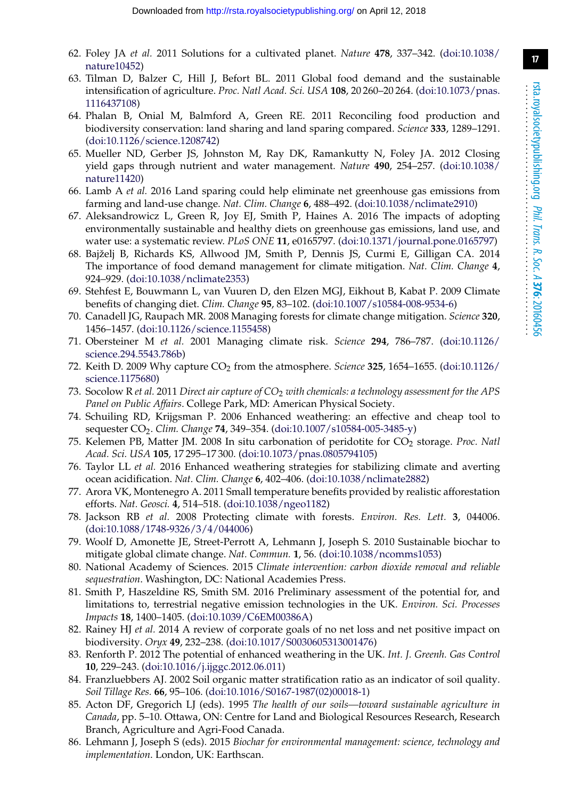- <span id="page-16-0"></span>62. Foley JA *et al.* 2011 Solutions for a cultivated planet. *Nature* **478**, 337–342. [\(doi:10.1038/](http://dx.doi.org/10.1038/nature10452) [nature10452\)](http://dx.doi.org/10.1038/nature10452)
- <span id="page-16-1"></span>63. Tilman D, Balzer C, Hill J, Befort BL. 2011 Global food demand and the sustainable intensification of agriculture. *Proc. Natl Acad. Sci. USA* **108**, 20 260–20 264. [\(doi:10.1073/pnas.](http://dx.doi.org/10.1073/pnas.1116437108) [1116437108\)](http://dx.doi.org/10.1073/pnas.1116437108)
- 64. Phalan B, Onial M, Balmford A, Green RE. 2011 Reconciling food production and biodiversity conservation: land sharing and land sparing compared. *Science* **333**, 1289–1291. [\(doi:10.1126/science.1208742\)](http://dx.doi.org/10.1126/science.1208742)
- 65. Mueller ND, Gerber JS, Johnston M, Ray DK, Ramankutty N, Foley JA. 2012 Closing yield gaps through nutrient and water management. *Nature* **490**, 254–257. [\(doi:10.1038/](http://dx.doi.org/10.1038/nature11420) [nature11420\)](http://dx.doi.org/10.1038/nature11420)
- <span id="page-16-2"></span>66. Lamb A *et al.* 2016 Land sparing could help eliminate net greenhouse gas emissions from farming and land-use change. *Nat. Clim. Change* **6**, 488–492. [\(doi:10.1038/nclimate2910\)](http://dx.doi.org/10.1038/nclimate2910)
- <span id="page-16-3"></span>67. Aleksandrowicz L, Green R, Joy EJ, Smith P, Haines A. 2016 The impacts of adopting environmentally sustainable and healthy diets on greenhouse gas emissions, land use, and water use: a systematic review. *PLoS ONE* **11**, e0165797. [\(doi:10.1371/journal.pone.0165797\)](http://dx.doi.org/10.1371/journal.pone.0165797)
- <span id="page-16-4"></span>68. Bajželj B, Richards KS, Allwood JM, Smith P, Dennis JS, Curmi E, Gilligan CA. 2014 The importance of food demand management for climate mitigation. *Nat. Clim. Change* **4**, 924–929. [\(doi:10.1038/nclimate2353\)](http://dx.doi.org/10.1038/nclimate2353)
- <span id="page-16-5"></span>69. Stehfest E, Bouwmann L, van Vuuren D, den Elzen MGJ, Eikhout B, Kabat P. 2009 Climate benefits of changing diet. *Clim. Change* **95**, 83–102. [\(doi:10.1007/s10584-008-9534-6\)](http://dx.doi.org/10.1007/s10584-008-9534-6)
- <span id="page-16-6"></span>70. Canadell JG, Raupach MR. 2008 Managing forests for climate change mitigation. *Science* **320**, 1456–1457. [\(doi:10.1126/science.1155458\)](http://dx.doi.org/10.1126/science.1155458)
- <span id="page-16-7"></span>71. Obersteiner M *et al.* 2001 Managing climate risk. *Science* **294**, 786–787. [\(doi:10.1126/](http://dx.doi.org/10.1126/science.294.5543.786b) [science.294.5543.786b\)](http://dx.doi.org/10.1126/science.294.5543.786b)
- <span id="page-16-9"></span>72. Keith D. 2009 Why capture CO2 from the atmosphere. *Science* **325**, 1654–1655. [\(doi:10.1126/](http://dx.doi.org/10.1126/science.1175680) [science.1175680\)](http://dx.doi.org/10.1126/science.1175680)
- <span id="page-16-10"></span>73. Socolow R *et al.* 2011 *Direct air capture of CO*<sup>2</sup> *with chemicals: a technology assessment for the APS Panel on Public Affairs*. College Park, MD: American Physical Society.
- <span id="page-16-11"></span>74. Schuiling RD, Krijgsman P. 2006 Enhanced weathering: an effective and cheap tool to sequester CO2. *Clim. Change* **74**, 349–354. [\(doi:10.1007/s10584-005-3485-y\)](http://dx.doi.org/10.1007/s10584-005-3485-y)
- 75. Kelemen PB, Matter JM. 2008 In situ carbonation of peridotite for CO2 storage. *Proc. Natl Acad. Sci. USA* **105**, 17 295–17 300. [\(doi:10.1073/pnas.0805794105\)](http://dx.doi.org/10.1073/pnas.0805794105)
- <span id="page-16-12"></span>76. Taylor LL *et al.* 2016 Enhanced weathering strategies for stabilizing climate and averting ocean acidification. *Nat. Clim. Change* **6**, 402–406. [\(doi:10.1038/nclimate2882\)](http://dx.doi.org/10.1038/nclimate2882)
- <span id="page-16-13"></span>77. Arora VK, Montenegro A. 2011 Small temperature benefits provided by realistic afforestation efforts. *Nat. Geosci.* **4**, 514–518. [\(doi:10.1038/ngeo1182\)](http://dx.doi.org/10.1038/ngeo1182)
- <span id="page-16-14"></span>78. Jackson RB *et al.* 2008 Protecting climate with forests. *Environ. Res. Lett.* **3**, 044006. [\(doi:10.1088/1748-9326/3/4/044006\)](http://dx.doi.org/10.1088/1748-9326/3/4/044006)
- <span id="page-16-8"></span>79. Woolf D, Amonette JE, Street-Perrott A, Lehmann J, Joseph S. 2010 Sustainable biochar to mitigate global climate change. *Nat. Commun.* **1**, 56. [\(doi:10.1038/ncomms1053\)](http://dx.doi.org/10.1038/ncomms1053)
- <span id="page-16-15"></span>80. National Academy of Sciences. 2015 *Climate intervention: carbon dioxide removal and reliable sequestration*. Washington, DC: National Academies Press.
- <span id="page-16-16"></span>81. Smith P, Haszeldine RS, Smith SM. 2016 Preliminary assessment of the potential for, and limitations to, terrestrial negative emission technologies in the UK. *Environ. Sci. Processes Impacts* **18**, 1400–1405. [\(doi:10.1039/C6EM00386A\)](http://dx.doi.org/10.1039/C6EM00386A)
- <span id="page-16-17"></span>82. Rainey HJ *et al.* 2014 A review of corporate goals of no net loss and net positive impact on biodiversity. *Oryx* **49**, 232–238. [\(doi:10.1017/S0030605313001476\)](http://dx.doi.org/10.1017/S0030605313001476)
- <span id="page-16-18"></span>83. Renforth P. 2012 The potential of enhanced weathering in the UK. *Int. J. Greenh. Gas Control* **10**, 229–243. [\(doi:10.1016/j.ijggc.2012.06.011\)](http://dx.doi.org/10.1016/j.ijggc.2012.06.011)
- <span id="page-16-19"></span>84. Franzluebbers AJ. 2002 Soil organic matter stratification ratio as an indicator of soil quality. *Soil Tillage Res.* **66**, 95–106. [\(doi:10.1016/S0167-1987\(02\)00018-1\)](http://dx.doi.org/10.1016/S0167-1987(02)00018-1)
- <span id="page-16-20"></span>85. Acton DF, Gregorich LJ (eds). 1995 *The health of our soils—toward sustainable agriculture in Canada*, pp. 5–10. Ottawa, ON: Centre for Land and Biological Resources Research, Research Branch, Agriculture and Agri-Food Canada.
- <span id="page-16-21"></span>86. Lehmann J, Joseph S (eds). 2015 *Biochar for environmental management: science, technology and implementation*. London, UK: Earthscan.